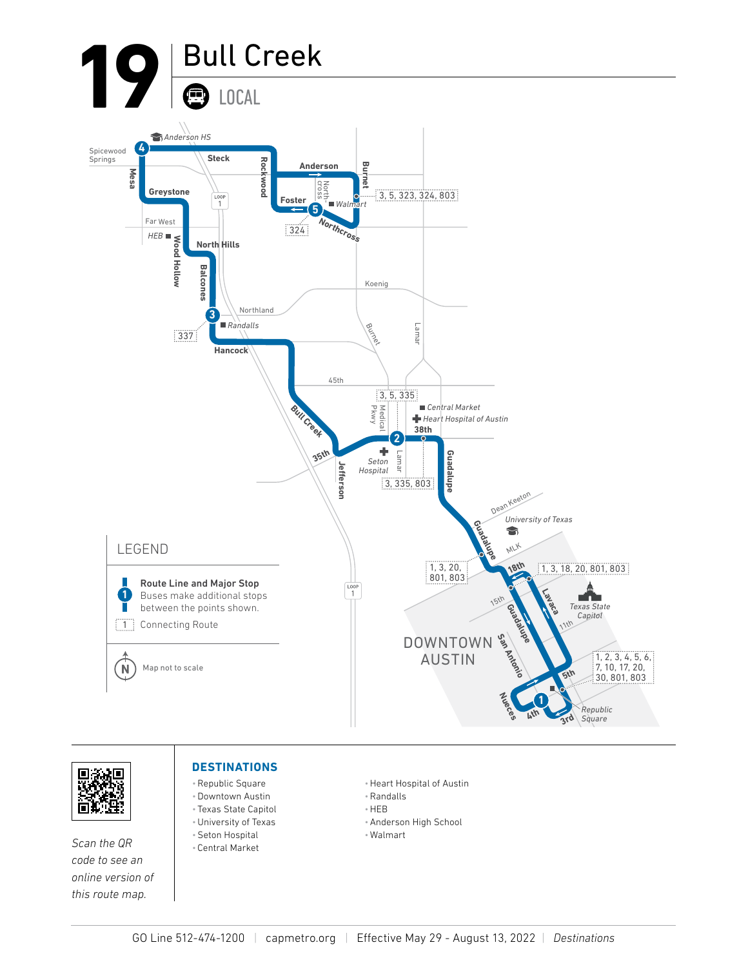



*Scan the QR code to see an online version of this route map.*

## **DESTINATIONS**

- •Republic Square
- •Downtown Austin • Texas State Capitol
- •University of Texas
- •Seton Hospital
- Central Market
- •Heart Hospital of Austin
- •Randalls
- •HEB
- •Anderson High School
- Walmart